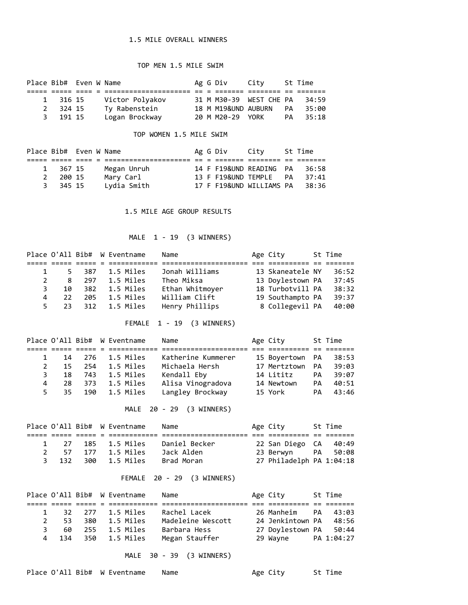### 1.5 MILE OVERALL WINNERS

### TOP MEN 1.5 MILE SWIM

| Place Bib# Even W Name |          |  |                 |  | Ag G Div       City |                         |    | St Time |
|------------------------|----------|--|-----------------|--|---------------------|-------------------------|----|---------|
|                        |          |  |                 |  |                     |                         |    |         |
|                        | 1 316 15 |  | Victor Polyakov |  |                     | 31 M M30-39 WEST CHE PA |    | 34:59   |
|                        | 2 324 15 |  | Ty Rabenstein   |  | 18 M M19&UND AUBURN |                         | PA | 35:00   |
|                        | 3 191 15 |  | Logan Brockway  |  | 20 M M20-29 YORK    |                         | PA | 35:18   |

### TOP WOMEN 1.5 MILE SWIM

|          | Place Bib# Even W Name |             |  | Ag G Div City       |                          |    | St Time |
|----------|------------------------|-------------|--|---------------------|--------------------------|----|---------|
|          |                        |             |  |                     |                          |    |         |
| 1 367 15 |                        | Megan Unruh |  |                     | 14 F F19&UND READING PA  |    | - 36:58 |
| 2 200 15 |                        | Mary Carl   |  | 13 F F19&UND TEMPLE |                          | PA | 37:41   |
| 3 345 15 |                        | Lydia Smith |  |                     | 17 F F19&UND WILLIAMS PA |    | - 38:36 |

1.5 MILE AGE GROUP RESULTS

# MALE 1 - 19 (3 WINNERS)

|               |     |       | Place O'All Bib# W Eventname | Name            | Age City         | St Time |
|---------------|-----|-------|------------------------------|-----------------|------------------|---------|
|               |     |       |                              |                 |                  |         |
|               |     | 5 387 | 1.5 Miles                    | Jonah Williams  | 13 Skaneatele NY | 36:52   |
| $\mathcal{P}$ | 8   |       | 297 1.5 Miles                | Theo Miksa      | 13 Doylestown PA | 37:45   |
| З.            | 10  |       | 382 1.5 Miles                | Ethan Whitmoyer | 18 Turbotvill PA | 38:32   |
| 4             | 22  | 205   | 1.5 Miles                    | William Clift   | 19 Southampto PA | 39:37   |
| 5.            | -23 |       | 312    1.5 Miles             | Henry Phillips  | 8 Collegevil PA  | 40:00   |

### FEMALE 1 - 19 (3 WINNERS)

|    |     |     | Place O'All Bib# W Eventname | Name               | Age City        |           | St Time |
|----|-----|-----|------------------------------|--------------------|-----------------|-----------|---------|
|    |     |     |                              |                    |                 |           |         |
|    | 14  |     | 276 1.5 Miles                | Katherine Kummerer | 15 Boyertown PA |           | 38:53   |
| 2  | 15  | 254 | 1.5 Miles                    | Michaela Hersh     | 17 Mertztown    | PA        | 39:03   |
| 3. | 18  | 743 | 1.5 Miles                    | Kendall Eby        | 14 Lititz       | PA        | 39:07   |
| 4  | 28. | 373 | 1.5 Miles                    | Alisa Vinogradova  | 14 Newtown      | <b>PA</b> | 40:51   |
| 5. | 35  |     | 190 1.5 Miles                | Langley Brockway   | 15 York         | PA        | 43:46   |

MALE 20 - 29 (3 WINNERS)

|       |  | Place O'All Bib# W Eventname | Name          | Age City                 | St Time |
|-------|--|------------------------------|---------------|--------------------------|---------|
|       |  |                              |               |                          |         |
|       |  | 1 27 185 1.5 Miles           | Daniel Becker | 22 San Diego CA 40:49    |         |
|       |  | 2 57 177 1.5 Miles           | Jack Alden    | 23 Berwyn - PA 50:08     |         |
| 3 132 |  | 300 1.5 Miles                | Brad Moran    | 27 Philadelph PA 1:04:18 |         |
|       |  |                              |               |                          |         |

### FEMALE 20 - 29 (3 WINNERS)

|    |                     |     | Place O'All Bib# W Eventname | Name                     | Age City               | St Time |
|----|---------------------|-----|------------------------------|--------------------------|------------------------|---------|
|    |                     |     |                              |                          |                        |         |
|    |                     |     | 32 277 1.5 Miles             | Rachel Lacek             | 26 Manheim - PA        | 43:03   |
|    | -53.<br>$2^{\circ}$ | 380 | 1.5 Miles                    | Madeleine Wescott        | 24 Jenkintown PA 48:56 |         |
| 3. | 60                  | 255 | 1.5 Miles                    | Barbara Hess             | 27 Doylestown PA 50:44 |         |
| 4  |                     |     | 134 350 1.5 Miles            | Megan Stauffer           | 29 Wayne PA 1:04:27    |         |
|    |                     |     |                              | MALE 30 - 39 (3 WINNERS) |                        |         |

```
Place O'All Bib# W Eventname Name Age City St Time
```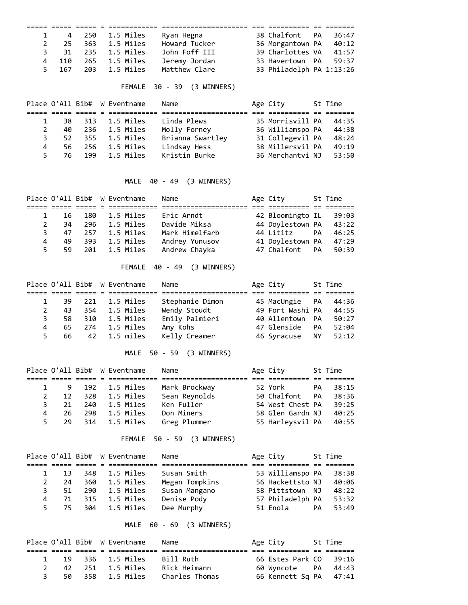|  | 1 4 250 1.5 Miles   | Ryan Hegna    | 38 Chalfont PA 36:47     |       |
|--|---------------------|---------------|--------------------------|-------|
|  | 2 25 363 1.5 Miles  | Howard Tucker | 36 Morgantown PA         | 40:12 |
|  | 3 31 235 1.5 Miles  | John Foff III | 39 Charlottes VA         | 41:57 |
|  | 4 110 265 1.5 Miles | Jeremy Jordan | 33 Havertown PA 59:37    |       |
|  | 5 167 203 1.5 Miles | Matthew Clare | 33 Philadelph PA 1:13:26 |       |

# FEMALE 30 - 39 (3 WINNERS)

|    |      |      | Place O'All Bib# W Eventname | Name             | Age City         | St Time |
|----|------|------|------------------------------|------------------|------------------|---------|
|    |      |      |                              |                  |                  |         |
|    | 38.  | 313  | 1.5 Miles                    | Linda Plews      | 35 Morrisvill PA | 44:35   |
| 2  | 40   | -236 | 1.5 Miles                    | Molly Forney     | 36 Williamspo PA | 44:38   |
| 3  | 52   | 355  | 1.5 Miles                    | Brianna Swartley | 31 Collegevil PA | 48:24   |
| 4  | 56 - | 256  | 1.5 Miles                    | Lindsay Hess     | 38 Millersvil PA | 49:19   |
| 5. | 76 - | 199  | 1.5 Miles                    | Kristin Burke    | 36 Merchantvi NJ | 53:50   |

MALE 40 - 49 (3 WINNERS)

|               |     |     | Place O'All Bib# W Eventname | Name           | Age City         |    | St Time |
|---------------|-----|-----|------------------------------|----------------|------------------|----|---------|
|               |     |     |                              |                |                  |    |         |
|               | -16 | 180 | 1.5 Miles                    | Eric Arndt     | 42 Bloomingto IL |    | 39:03   |
| $\mathcal{P}$ | 34  | 296 | 1.5 Miles                    | Davide Miksa   | 44 Doylestown PA |    | 43:22   |
| 3.            | 47  |     | 257 1.5 Miles                | Mark Himelfarb | 44 Lititz        | PA | 46:25   |
| 4             | 49  | 393 | 1.5 Miles                    | Andrey Yunusov | 41 Doylestown PA |    | 47:29   |
| 5.            | 59. |     | 201 1.5 Miles                | Andrew Chayka  | 47 Chalfont PA   |    | 50:39   |

FEMALE 40 - 49 (3 WINNERS)

|    |      |     | Place O'All Bib# W Eventname | Name            | Age City         |           | St Time |
|----|------|-----|------------------------------|-----------------|------------------|-----------|---------|
|    |      |     |                              |                 |                  |           |         |
|    | 39.  |     | 221 1.5 Miles                | Stephanie Dimon | 45 MacUngie PA   |           | 44:36   |
| 2  | 43.  | 354 | 1.5 Miles                    | Wendy Stoudt    | 49 Fort Washi PA |           | 44:55   |
| 3  | -58. |     | 310 1.5 Miles                | Emily Palmieri  | 40 Allentown PA  |           | 50:27   |
| 4  | 65.  | 274 | 1.5 Miles                    | Amy Kohs        | 47 Glenside      | <b>PA</b> | 52:04   |
| 5. | 66 — |     | 42 1.5 miles                 | Kelly Creamer   | 46 Syracuse      | NY NY     | 52:12   |

MALE 50 - 59 (3 WINNERS)

|    |     |     | Place O'All Bib# W Eventname | Name          | Age City         |    | St Time |
|----|-----|-----|------------------------------|---------------|------------------|----|---------|
|    |     |     |                              |               |                  |    |         |
|    | -9  |     | 192 1.5 Miles                | Mark Brockway | 52 York          | PA | 38:15   |
| 2  | 12  | 328 | 1.5 Miles                    | Sean Reynolds | 50 Chalfont PA   |    | 38:36   |
| 3. | 21  |     | 240 1.5 Miles                | Ken Fuller    | 54 West Chest PA |    | 39:25   |
| 4  | 26. | 298 | 1.5 Miles                    | Don Miners    | 58 Glen Gardn NJ |    | 40:25   |
| 5. | 29  | 314 | 1.5 Miles                    | Greg Plummer  | 55 Harleysvil PA |    | 40:55   |

FEMALE 50 - 59 (3 WINNERS)

|    |    |     | Place O'All Bib# W Eventname | Name           | Age City         |           | St Time |
|----|----|-----|------------------------------|----------------|------------------|-----------|---------|
|    |    |     |                              |                |                  |           |         |
|    | 13 | 348 | 1.5 Miles                    | Susan Smith    | 53 Williamspo PA |           | 38:38   |
| 2  | 24 | 360 | 1.5 Miles                    | Megan Tompkins | 56 Hackettsto NJ |           | 40:06   |
| 3. | 51 | 290 | 1.5 Miles                    | Susan Mangano  | 58 Pittstown NJ  |           | 48:22   |
| 4  | 71 | 315 | 1.5 Miles                    | Denise Pody    | 57 Philadelph PA |           | 53:32   |
| 5. | 75 | 304 | 1.5 Miles                    | Dee Murphy     | 51 Enola         | <b>PA</b> | 53:49   |

MALE 60 - 69 (3 WINNERS)

|              |     |  | Place O'All Bib# W Eventname | Name           | Age City               | St Time |
|--------------|-----|--|------------------------------|----------------|------------------------|---------|
|              |     |  |                              |                |                        |         |
| $\mathbf{1}$ |     |  | 19 336 1.5 Miles             | Bill Ruth      | 66 Estes Park CO 39:16 |         |
|              |     |  | 42 251 1.5 Miles             | Rick Heimann   | 60 Wyncote PA 44:43    |         |
| 3.           | 50. |  | 358 1.5 Miles                | Charles Thomas | 66 Kennett Sq PA 47:41 |         |